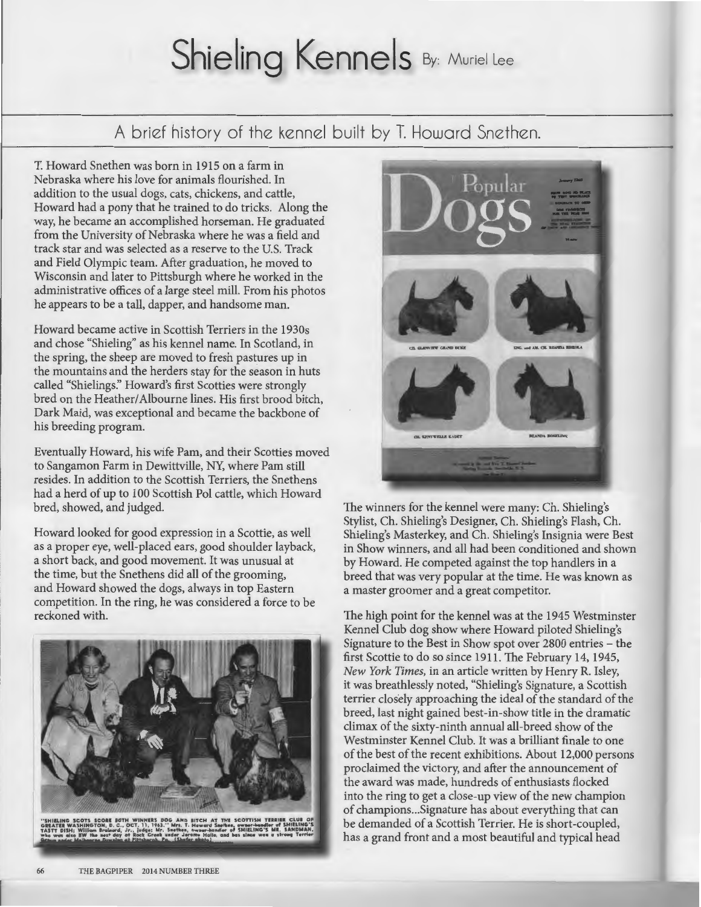## Shieling Kennels By: Muriel Lee

A brief history of the kennel built by T. Howard Snethen.

T. Howard Snethen was born in 1915 on a farm in Nebraska where his love for animals flourished. In addition to the usual dogs, cats, chickens, and cattle, Howard had a pony that he trained to do tricks. Along the way, he became an accomplished horseman. He graduated from the University of Nebraska where he was a field and track star and was selected as a reserve to the U.S. Track and Field Olympic team. After graduation, he moved to Wisconsin and later to Pittsburgh where he worked in the administrative offices of a large steel mill. From his photos he appears to be a tall, dapper, and handsome man.

Howard became active in Scottish Terriers in the 1930s and chose "Shieling" as his kennel name. In Scotland, in the spring, the sheep are moved to fresh pastures up in the mountains and the herders stay for the season in huts called "Shielings:' Howard's first Scotties were strongly bred on the Heather/ Albourne lines. His first brood bitch, Dark Maid, was exceptional and became the backbone of his breeding program.

Eventually Howard, his wife Pam, and their Scotties moved to Sangamon Farm in Dewittville, NY, where Pam still resides. In addition to the Scottish Terriers, the Snethens had a herd of up to 100 Scottish Pol cattle, which Howard bred, showed, and judged.

Howard looked for good expression in a Scottie, as well as a proper eye, well-placed ears, good shoulder layback, a short back, and good movement. It was unusual at the time, but the Snethens did all of the grooming, and Howard showed the dogs, always in top Eastern competition. In the ring, he was considered a force to be reckoned with.





The winners for the kennel were many: Ch. Shieling's Stylist, Ch. Shieling's Designer, Ch. Shieling's Flash, Ch. Shieling's Masterkey, and Ch. Shieling's Insignia were Best in Show winners, and all had been conditioned and shown by Howard. He competed against the top handlers in a breed that was very popular at the time. He was known as a master groomer and a great competitor.

The high point for the kennel was at the 1945 Westminster Kennel Club dog show where Howard piloted Shieling's Signature to the Best in Show spot over 2800 entries - the first Scottie to do so since 1911. The February 14, 1945, *New York Times,* in an article written by Henry R. Isley, it was breathlessly noted, "Shieling's Signature, a Scottish terrier closely approaching the ideal of the standard of the breed, last night gained best-in-show title in the dramatic climax of the sixty-ninth annual all-breed show of the Westminster Kennel Club. It was a brilliant finale to one of the best of the recent exhibitions. About 12,000 persons proclaimed the victory, and after the announcement of the award was made, hundreds of enthusiasts flocked into the ring to get a close-up view of the new champion of champions ... Signature has about everything that can be demanded of a Scottish Terrier. He is short-coupled, has a grand front and a most beautiful and typical head